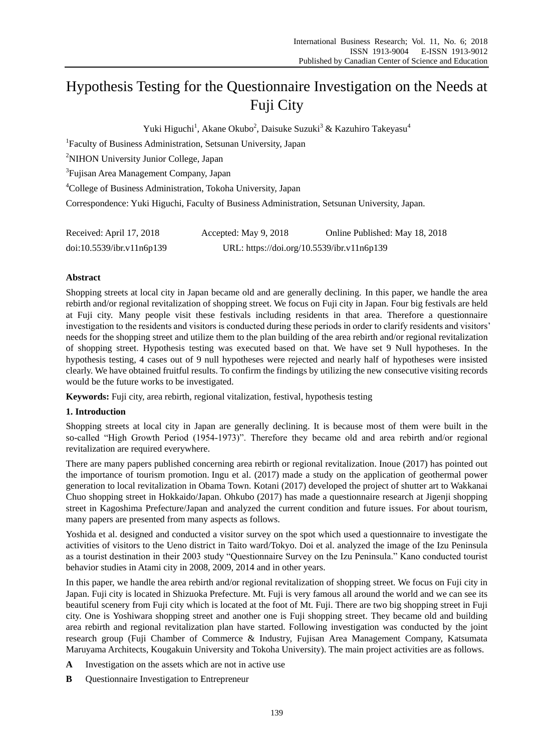# Hypothesis Testing for the Questionnaire Investigation on the Needs at Fuji City

Yuki Higuchi<sup>1</sup>, Akane Okubo<sup>2</sup>, Daisuke Suzuki<sup>3</sup> & Kazuhiro Takeyasu<sup>4</sup>

<sup>1</sup>Faculty of Business Administration, Setsunan University, Japan

<sup>2</sup>NIHON University Junior College, Japan

3 Fujisan Area Management Company, Japan

<sup>4</sup>College of Business Administration, Tokoha University, Japan

Correspondence: Yuki Higuchi, Faculty of Business Administration, Setsunan University, Japan.

| Received: April 17, 2018  | Accepted: May 9, 2018                      | Online Published: May 18, 2018 |
|---------------------------|--------------------------------------------|--------------------------------|
| doi:10.5539/ibr.v11n6p139 | URL: https://doi.org/10.5539/ibr.v11n6p139 |                                |

## **Abstract**

Shopping streets at local city in Japan became old and are generally declining. In this paper, we handle the area rebirth and/or regional revitalization of shopping street. We focus on Fuji city in Japan. Four big festivals are held at Fuji city. Many people visit these festivals including residents in that area. Therefore a questionnaire investigation to the residents and visitors is conducted during these periods in order to clarify residents and visitors' needs for the shopping street and utilize them to the plan building of the area rebirth and/or regional revitalization of shopping street. Hypothesis testing was executed based on that. We have set 9 Null hypotheses. In the hypothesis testing, 4 cases out of 9 null hypotheses were rejected and nearly half of hypotheses were insisted clearly. We have obtained fruitful results. To confirm the findings by utilizing the new consecutive visiting records would be the future works to be investigated.

**Keywords:** Fuji city, area rebirth, regional vitalization, festival, hypothesis testing

## **1. Introduction**

Shopping streets at local city in Japan are generally declining. It is because most of them were built in the so-called "High Growth Period (1954-1973)". Therefore they became old and area rebirth and/or regional revitalization are required everywhere.

There are many papers published concerning area rebirth or regional revitalization. Inoue (2017) has pointed out the importance of tourism promotion. Ingu et al. (2017) made a study on the application of geothermal power generation to local revitalization in Obama Town. Kotani (2017) developed the project of shutter art to Wakkanai Chuo shopping street in Hokkaido/Japan. Ohkubo (2017) has made a questionnaire research at Jigenji shopping street in Kagoshima Prefecture/Japan and analyzed the current condition and future issues. For about tourism, many papers are presented from many aspects as follows.

Yoshida et al. designed and conducted a visitor survey on the spot which used a questionnaire to investigate the activities of visitors to the Ueno district in Taito ward/Tokyo. Doi et al. analyzed the image of the Izu Peninsula as a tourist destination in their 2003 study "Questionnaire Survey on the Izu Peninsula." Kano conducted tourist behavior studies in Atami city in 2008, 2009, 2014 and in other years.

In this paper, we handle the area rebirth and/or regional revitalization of shopping street. We focus on Fuji city in Japan. Fuji city is located in Shizuoka Prefecture. Mt. Fuji is very famous all around the world and we can see its beautiful scenery from Fuji city which is located at the foot of Mt. Fuji. There are two big shopping street in Fuji city. One is Yoshiwara shopping street and another one is Fuji shopping street. They became old and building area rebirth and regional revitalization plan have started. Following investigation was conducted by the joint research group (Fuji Chamber of Commerce & Industry, Fujisan Area Management Company, Katsumata Maruyama Architects, Kougakuin University and Tokoha University). The main project activities are as follows.

- **A** Investigation on the assets which are not in active use
- **B** Questionnaire Investigation to Entrepreneur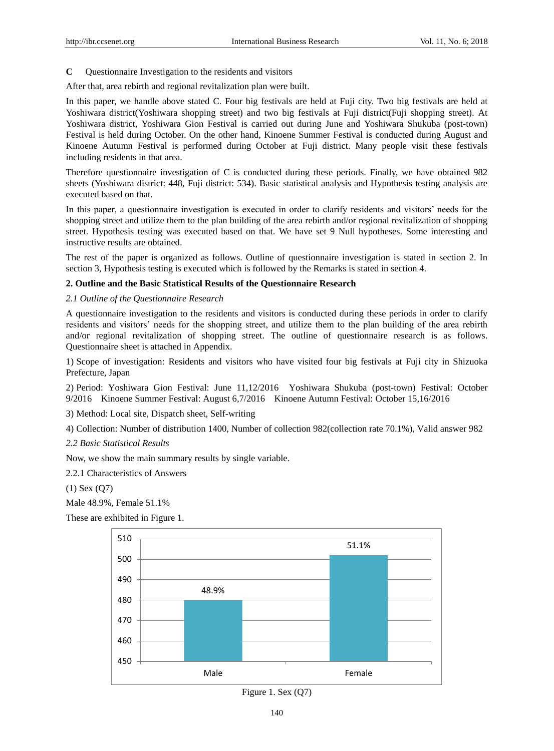**C** Questionnaire Investigation to the residents and visitors

After that, area rebirth and regional revitalization plan were built.

In this paper, we handle above stated C. Four big festivals are held at Fuji city. Two big festivals are held at Yoshiwara district(Yoshiwara shopping street) and two big festivals at Fuji district(Fuji shopping street). At Yoshiwara district, Yoshiwara Gion Festival is carried out during June and Yoshiwara Shukuba (post-town) Festival is held during October. On the other hand, Kinoene Summer Festival is conducted during August and Kinoene Autumn Festival is performed during October at Fuji district. Many people visit these festivals including residents in that area.

Therefore questionnaire investigation of C is conducted during these periods. Finally, we have obtained 982 sheets (Yoshiwara district: 448, Fuji district: 534). Basic statistical analysis and Hypothesis testing analysis are executed based on that.

In this paper, a questionnaire investigation is executed in order to clarify residents and visitors' needs for the shopping street and utilize them to the plan building of the area rebirth and/or regional revitalization of shopping street. Hypothesis testing was executed based on that. We have set 9 Null hypotheses. Some interesting and instructive results are obtained.

The rest of the paper is organized as follows. Outline of questionnaire investigation is stated in section 2. In section 3, Hypothesis testing is executed which is followed by the Remarks is stated in section 4.

#### **2. Outline and the Basic Statistical Results of the Questionnaire Research**

#### *2.1 Outline of the Questionnaire Research*

A questionnaire investigation to the residents and visitors is conducted during these periods in order to clarify residents and visitors' needs for the shopping street, and utilize them to the plan building of the area rebirth and/or regional revitalization of shopping street. The outline of questionnaire research is as follows. Questionnaire sheet is attached in Appendix.

1) Scope of investigation: Residents and visitors who have visited four big festivals at Fuji city in Shizuoka Prefecture, Japan

2) Period: Yoshiwara Gion Festival: June 11,12/2016 Yoshiwara Shukuba (post-town) Festival: October 9/2016 Kinoene Summer Festival: August 6,7/2016 Kinoene Autumn Festival: October 15,16/2016

3) Method: Local site, Dispatch sheet, Self-writing

4) Collection: Number of distribution 1400, Number of collection 982(collection rate 70.1%), Valid answer 982

*2.2 Basic Statistical Results*

Now, we show the main summary results by single variable.

2.2.1 Characteristics of Answers

(1) Sex (Q7)

Male 48.9%, Female 51.1%

These are exhibited in Figure 1.



Figure 1. Sex (Q7)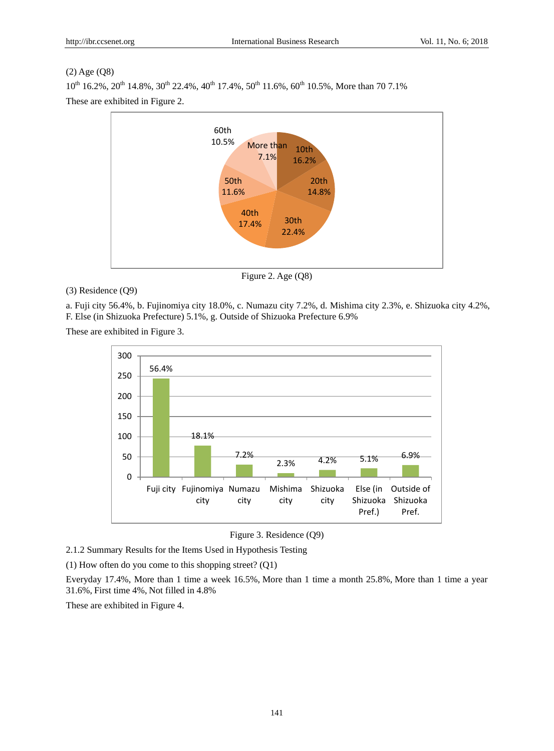## (2) Age (Q8)

 $10^{th}$  16.2%,  $20^{th}$  14.8%,  $30^{th}$  22.4%,  $40^{th}$  17.4%,  $50^{th}$  11.6%,  $60^{th}$  10.5%, More than 70 7.1% These are exhibited in Figure 2.



Figure 2. Age (Q8)

## (3) Residence (Q9)

a. Fuji city 56.4%, b. Fujinomiya city 18.0%, c. Numazu city 7.2%, d. Mishima city 2.3%, e. Shizuoka city 4.2%, F. Else (in Shizuoka Prefecture) 5.1%, g. Outside of Shizuoka Prefecture 6.9%

These are exhibited in Figure 3.



Figure 3. Residence (Q9)

2.1.2 Summary Results for the Items Used in Hypothesis Testing

(1) How often do you come to this shopping street? (Q1)

Everyday 17.4%, More than 1 time a week 16.5%, More than 1 time a month 25.8%, More than 1 time a year 31.6%, First time 4%, Not filled in 4.8%

These are exhibited in Figure 4.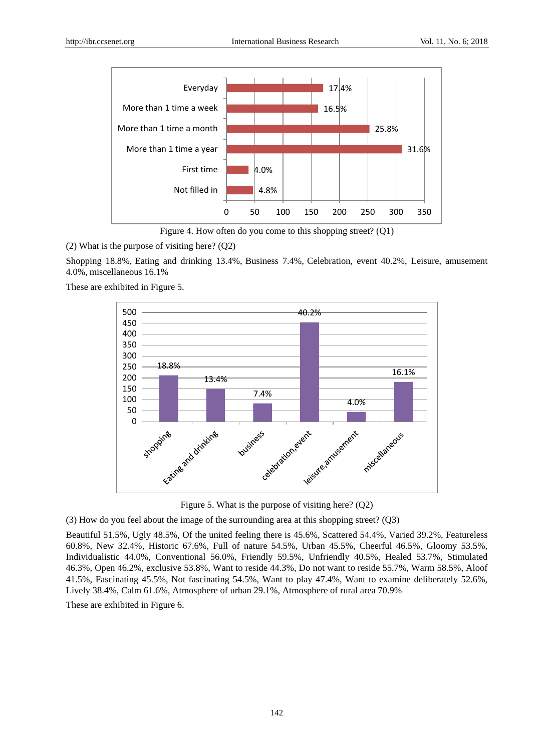

Figure 4. How often do you come to this shopping street? (Q1)

(2) What is the purpose of visiting here? (Q2)

Shopping 18.8%, Eating and drinking 13.4%, Business 7.4%, Celebration, event 40.2%, Leisure, amusement 4.0%, miscellaneous 16.1%

These are exhibited in Figure 5.



Figure 5. What is the purpose of visiting here? (Q2)

(3) How do you feel about the image of the surrounding area at this shopping street? (Q3)

Beautiful 51.5%, Ugly 48.5%, Of the united feeling there is 45.6%, Scattered 54.4%, Varied 39.2%, Featureless 60.8%, New 32.4%, Historic 67.6%, Full of nature 54.5%, Urban 45.5%, Cheerful 46.5%, Gloomy 53.5%, Individualistic 44.0%, Conventional 56.0%, Friendly 59.5%, Unfriendly 40.5%, Healed 53.7%, Stimulated 46.3%, Open 46.2%, exclusive 53.8%, Want to reside 44.3%, Do not want to reside 55.7%, Warm 58.5%, Aloof 41.5%, Fascinating 45.5%, Not fascinating 54.5%, Want to play 47.4%, Want to examine deliberately 52.6%, Lively 38.4%, Calm 61.6%, Atmosphere of urban 29.1%, Atmosphere of rural area 70.9%

These are exhibited in Figure 6.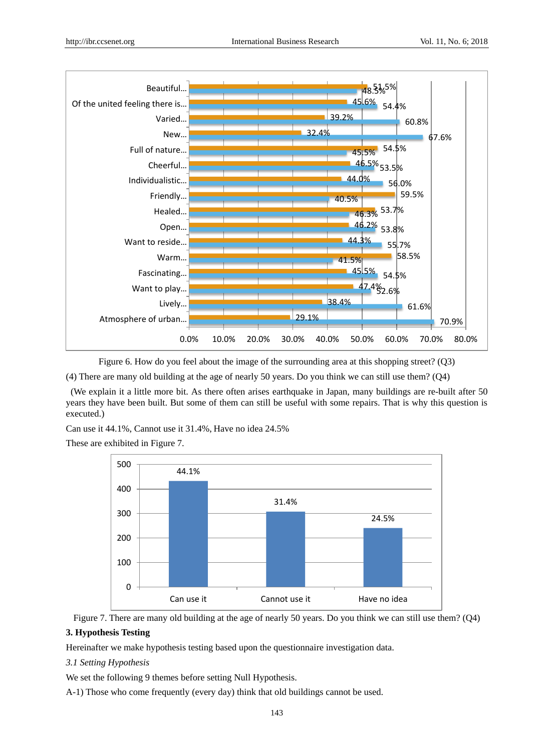

Figure 6. How do you feel about the image of the surrounding area at this shopping street? (Q3)

(4) There are many old building at the age of nearly 50 years. Do you think we can still use them? (Q4)

(We explain it a little more bit. As there often arises earthquake in Japan, many buildings are re-built after 50 years they have been built. But some of them can still be useful with some repairs. That is why this question is executed.)

Can use it 44.1%, Cannot use it 31.4%, Have no idea 24.5%

These are exhibited in Figure 7.

![](_page_4_Figure_9.jpeg)

Figure 7. There are many old building at the age of nearly 50 years. Do you think we can still use them? (Q4)

# **3. Hypothesis Testing**

Hereinafter we make hypothesis testing based upon the questionnaire investigation data.

# *3.1 Setting Hypothesis*

We set the following 9 themes before setting Null Hypothesis.

A-1) Those who come frequently (every day) think that old buildings cannot be used.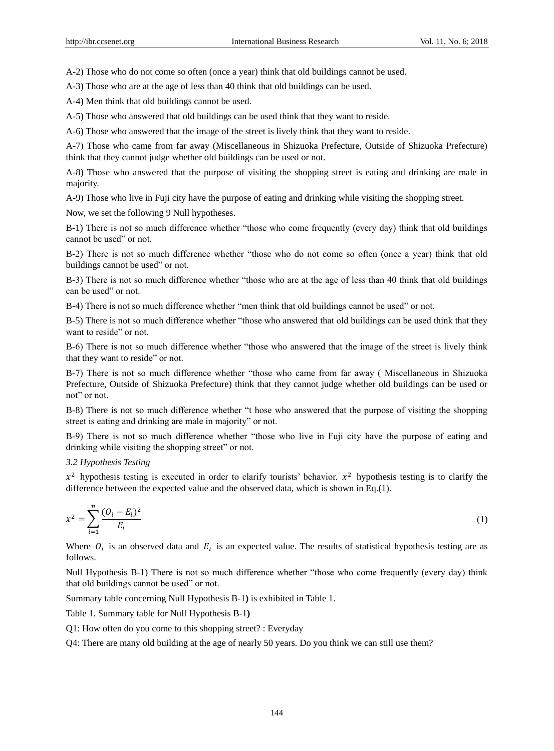A-2) Those who do not come so often (once a year) think that old buildings cannot be used.

A-3) Those who are at the age of less than 40 think that old buildings can be used.

A-4) Men think that old buildings cannot be used.

A-5) Those who answered that old buildings can be used think that they want to reside.

A-6) Those who answered that the image of the street is lively think that they want to reside.

A-7) Those who came from far away (Miscellaneous in Shizuoka Prefecture, Outside of Shizuoka Prefecture) think that they cannot judge whether old buildings can be used or not.

A-8) Those who answered that the purpose of visiting the shopping street is eating and drinking are male in majority.

A-9) Those who live in Fuji city have the purpose of eating and drinking while visiting the shopping street.

Now, we set the following 9 Null hypotheses.

B-1) There is not so much difference whether "those who come frequently (every day) think that old buildings cannot be used" or not.

B-2) There is not so much difference whether "those who do not come so often (once a year) think that old buildings cannot be used" or not.

B-3) There is not so much difference whether "those who are at the age of less than 40 think that old buildings can be used" or not.

B-4) There is not so much difference whether "men think that old buildings cannot be used" or not.

B-5) There is not so much difference whether "those who answered that old buildings can be used think that they want to reside" or not.

B-6) There is not so much difference whether "those who answered that the image of the street is lively think that they want to reside" or not.

B-7) There is not so much difference whether "those who came from far away ( Miscellaneous in Shizuoka Prefecture, Outside of Shizuoka Prefecture) think that they cannot judge whether old buildings can be used or not" or not.

B-8) There is not so much difference whether "t hose who answered that the purpose of visiting the shopping street is eating and drinking are male in majority" or not.

B-9) There is not so much difference whether "those who live in Fuji city have the purpose of eating and drinking while visiting the shopping street" or not.

#### *3.2 Hypothesis Testing*

 $x^2$  hypothesis testing is executed in order to clarify tourists' behavior.  $x^2$  hypothesis testing is to clarify the difference between the expected value and the observed data, which is shown in Eq.(1).

$$
x^2 = \sum_{i=1}^n \frac{(O_i - E_i)^2}{E_i} \tag{1}
$$

Where  $O_i$  is an observed data and  $E_i$  is an expected value. The results of statistical hypothesis testing are as follows.

Null Hypothesis B-1) There is not so much difference whether "those who come frequently (every day) think that old buildings cannot be used" or not.

Summary table concerning Null Hypothesis B-1**)** is exhibited in Table 1.

Table 1. Summary table for Null Hypothesis B-1**)**

Q1: How often do you come to this shopping street? : Everyday

Q4: There are many old building at the age of nearly 50 years. Do you think we can still use them?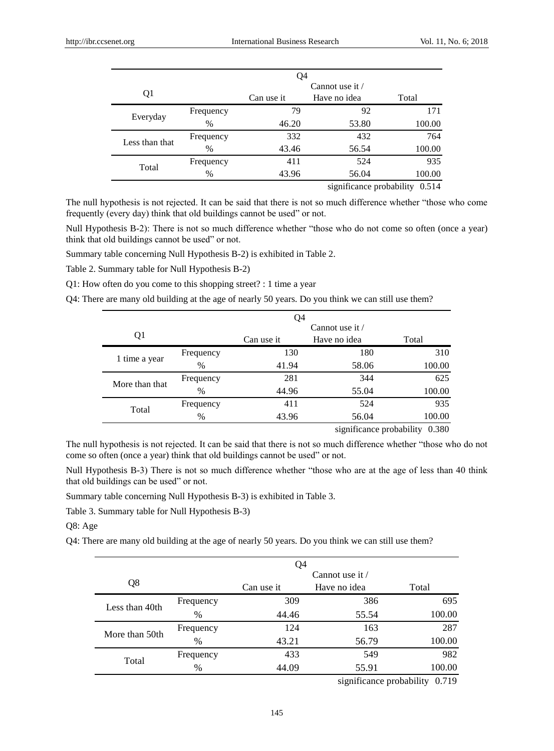|                | Q4        |            |                          |        |  |
|----------------|-----------|------------|--------------------------|--------|--|
|                |           |            | Cannot use it $\ell$     |        |  |
| Q1             |           | Can use it | Have no idea             | Total  |  |
| Everyday       | Frequency | 79         | 92                       | 171    |  |
|                | $\%$      | 46.20      | 53.80                    | 100.00 |  |
| Less than that | Frequency | 332        | 432                      | 764    |  |
|                | $\%$      | 43.46      | 56.54                    | 100.00 |  |
| Total          | Frequency | 411        | 524                      | 935    |  |
|                | %         | 43.96      | 56.04                    | 100.00 |  |
|                |           |            | significance probability | 0.514  |  |

The null hypothesis is not rejected. It can be said that there is not so much difference whether "those who come frequently (every day) think that old buildings cannot be used" or not.

Null Hypothesis B-2): There is not so much difference whether "those who do not come so often (once a year) think that old buildings cannot be used" or not.

Summary table concerning Null Hypothesis B-2) is exhibited in Table 2.

Table 2. Summary table for Null Hypothesis B-2)

Q1: How often do you come to this shopping street? : 1 time a year

Q4: There are many old building at the age of nearly 50 years. Do you think we can still use them?

|                | Q4        |            |                      |                                   |  |
|----------------|-----------|------------|----------------------|-----------------------------------|--|
|                |           |            | Cannot use it $\ell$ |                                   |  |
| Q1             |           | Can use it | Have no idea         | Total                             |  |
|                | Frequency | 130        | 180                  | 310                               |  |
| 1 time a year  | %         | 41.94      | 58.06                | 100.00                            |  |
| More than that | Frequency | 281        | 344                  | 625                               |  |
|                | $\%$      | 44.96      | 55.04                | 100.00                            |  |
| Total          | Frequency | 411        | 524                  | 935                               |  |
|                | %         | 43.96      | 56.04                | 100.00                            |  |
|                |           |            |                      | 0.380<br>significance probability |  |

The null hypothesis is not rejected. It can be said that there is not so much difference whether "those who do not come so often (once a year) think that old buildings cannot be used" or not.

Null Hypothesis B-3) There is not so much difference whether "those who are at the age of less than 40 think that old buildings can be used" or not.

Summary table concerning Null Hypothesis B-3) is exhibited in Table 3.

Table 3. Summary table for Null Hypothesis B-3)

Q8: Age

Q4: There are many old building at the age of nearly 50 years. Do you think we can still use them?

| Cannot use it $\ell$<br>Q8<br>Have no idea<br>Total<br>Can use it<br>309<br>386<br>Frequency<br>Less than 40th<br>44.46<br>$\%$<br>55.54<br>124<br>163<br>Frequency<br>More than 50th<br>43.21<br>56.79<br>$\%$<br>433<br>549<br>Frequency |       | Q4 |  |  |        |  |
|--------------------------------------------------------------------------------------------------------------------------------------------------------------------------------------------------------------------------------------------|-------|----|--|--|--------|--|
|                                                                                                                                                                                                                                            |       |    |  |  |        |  |
|                                                                                                                                                                                                                                            |       |    |  |  |        |  |
|                                                                                                                                                                                                                                            |       |    |  |  | 695    |  |
|                                                                                                                                                                                                                                            |       |    |  |  | 100.00 |  |
|                                                                                                                                                                                                                                            |       |    |  |  | 287    |  |
|                                                                                                                                                                                                                                            |       |    |  |  | 100.00 |  |
|                                                                                                                                                                                                                                            | Total |    |  |  | 982    |  |
| 44.09<br>55.91<br>$\%$                                                                                                                                                                                                                     |       |    |  |  | 100.00 |  |

significance probability 0.719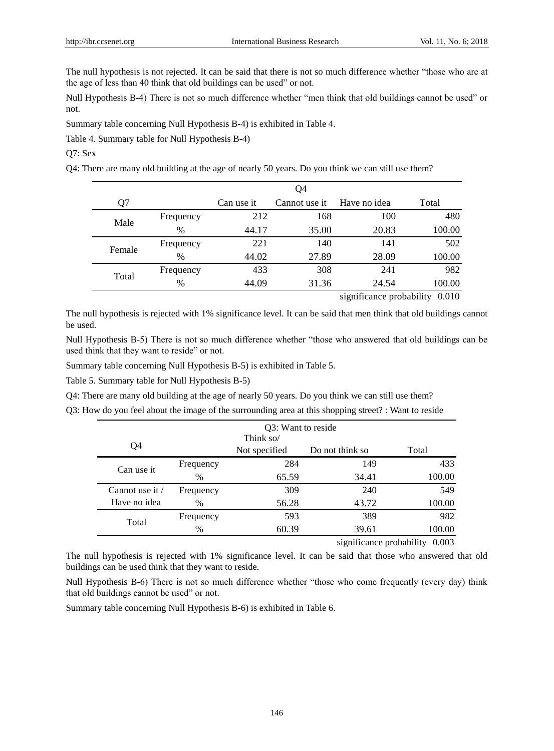The null hypothesis is not rejected. It can be said that there is not so much difference whether "those who are at the age of less than 40 think that old buildings can be used" or not.

Null Hypothesis B-4) There is not so much difference whether "men think that old buildings cannot be used" or not.

Summary table concerning Null Hypothesis B-4) is exhibited in Table 4.

Table 4. Summary table for Null Hypothesis B-4)

Q7: Sex

Q4: There are many old building at the age of nearly 50 years. Do you think we can still use them?

|        |           | Q4         |               |              |                                      |  |
|--------|-----------|------------|---------------|--------------|--------------------------------------|--|
| ገ7     |           | Can use it | Cannot use it | Have no idea | Total                                |  |
| Male   | Frequency | 212        | 168           | 100          | 480                                  |  |
|        | $\%$      | 44.17      | 35.00         | 20.83        | 100.00                               |  |
| Female | Frequency | 221        | 140           | 141          | 502                                  |  |
|        | $\%$      | 44.02      | 27.89         | 28.09        | 100.00                               |  |
| Total  | Frequency | 433        | 308           | 241          | 982                                  |  |
|        | %         | 44.09      | 31.36         | 24.54        | 100.00                               |  |
|        |           |            |               |              | $\sin 6$ agus an malachility $0.010$ |  |

significance probability 0.010

The null hypothesis is rejected with 1% significance level. It can be said that men think that old buildings cannot be used.

Null Hypothesis B-5) There is not so much difference whether "those who answered that old buildings can be used think that they want to reside" or not.

Summary table concerning Null Hypothesis B-5) is exhibited in Table 5.

Table 5. Summary table for Null Hypothesis B-5)

Q4: There are many old building at the age of nearly 50 years. Do you think we can still use them?

Q3: How do you feel about the image of the surrounding area at this shopping street? : Want to reside

|                      | Q3: Want to reside |                            |                 |                                   |  |  |
|----------------------|--------------------|----------------------------|-----------------|-----------------------------------|--|--|
| Q4                   |                    | Think so/<br>Not specified | Do not think so | Total                             |  |  |
| Can use it           | Frequency          | 284                        | 149             | 433                               |  |  |
|                      | $\%$               | 65.59                      | 34.41           | 100.00                            |  |  |
| Cannot use it $\ell$ | Frequency          | 309                        | 240             | 549                               |  |  |
| Have no idea         | $\%$               | 56.28                      | 43.72           | 100.00                            |  |  |
| Total                | Frequency          | 593                        | 389             | 982                               |  |  |
|                      | $\%$               | 60.39                      | 39.61           | 100.00                            |  |  |
|                      |                    |                            |                 | 0.003<br>significance probability |  |  |

The null hypothesis is rejected with 1% significance level. It can be said that those who answered that old buildings can be used think that they want to reside.

Null Hypothesis B-6) There is not so much difference whether "those who come frequently (every day) think that old buildings cannot be used" or not.

Summary table concerning Null Hypothesis B-6) is exhibited in Table 6.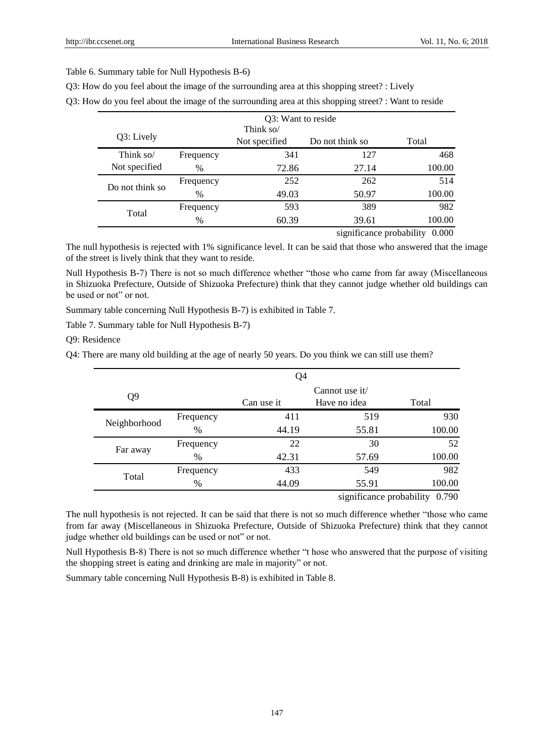## Table 6. Summary table for Null Hypothesis B-6)

|               | Think so/<br>Not specified | Do not think so |                |
|---------------|----------------------------|-----------------|----------------|
|               |                            |                 |                |
|               |                            |                 | Total          |
| Frequency     | 341                        | 127             | 468            |
| $\%$          | 72.86                      | 27.14           | 100.00         |
| Frequency     | 252                        | 262             | 514            |
| $\frac{0}{0}$ | 49.03                      | 50.97           | 100.00         |
| Frequency     | 593                        | 389             | 982            |
| $\%$          | 60.39                      | 39.61           | 100.00         |
|               |                            |                 | $\cdot$ $\sim$ |

Q3: How do you feel about the image of the surrounding area at this shopping street? : Lively

Q3: How do you feel about the image of the surrounding area at this shopping street? : Want to reside

significance probability 0.000

The null hypothesis is rejected with 1% significance level. It can be said that those who answered that the image of the street is lively think that they want to reside.

Null Hypothesis B-7) There is not so much difference whether "those who came from far away (Miscellaneous in Shizuoka Prefecture, Outside of Shizuoka Prefecture) think that they cannot judge whether old buildings can be used or not" or not.

Summary table concerning Null Hypothesis B-7) is exhibited in Table 7.

Table 7. Summary table for Null Hypothesis B-7)

Q9: Residence

Q4: There are many old building at the age of nearly 50 years. Do you think we can still use them?

|                | Q <sub>4</sub> |            |                                  |        |  |
|----------------|----------------|------------|----------------------------------|--------|--|
| Q <sub>9</sub> |                | Can use it | Cannot use $it/$<br>Have no idea | Total  |  |
|                | Frequency      | 411        | 519                              | 930    |  |
| Neighborhood   | %              | 44.19      | 55.81                            | 100.00 |  |
| Far away       | Frequency      | 22         | 30                               | 52     |  |
|                | $\%$           | 42.31      | 57.69                            | 100.00 |  |
|                | Frequency      | 433        | 549                              | 982    |  |
| Total          | $\%$           | 44.09      | 55.91                            | 100.00 |  |
|                |                |            | significance probability         | 0.790  |  |

The null hypothesis is not rejected. It can be said that there is not so much difference whether "those who came from far away (Miscellaneous in Shizuoka Prefecture, Outside of Shizuoka Prefecture) think that they cannot judge whether old buildings can be used or not" or not.

Null Hypothesis B-8) There is not so much difference whether "t hose who answered that the purpose of visiting the shopping street is eating and drinking are male in majority" or not.

Summary table concerning Null Hypothesis B-8) is exhibited in Table 8.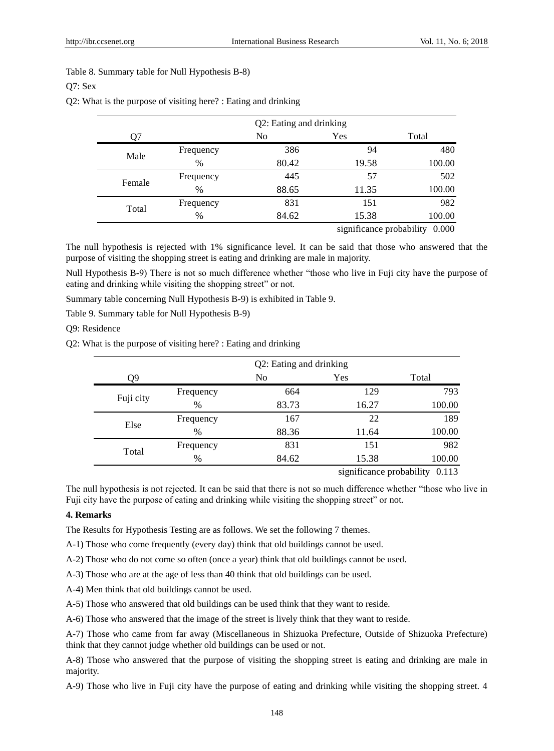## Table 8. Summary table for Null Hypothesis B-8)

## Q7: Sex

Q2: What is the purpose of visiting here? : Eating and drinking

|        | Q2: Eating and drinking |                |       |                                |  |  |
|--------|-------------------------|----------------|-------|--------------------------------|--|--|
| )7     |                         | N <sub>0</sub> | Yes   | Total                          |  |  |
| Male   | Frequency               | 386            | 94    | 480                            |  |  |
|        | $\%$                    | 80.42          | 19.58 | 100.00                         |  |  |
| Female | Frequency               | 445            | 57    | 502                            |  |  |
|        | $\%$                    | 88.65          | 11.35 | 100.00                         |  |  |
| Total  | Frequency               | 831            | 151   | 982                            |  |  |
|        | $\%$                    | 84.62          | 15.38 | 100.00                         |  |  |
|        |                         |                |       | cionificance probability 0.000 |  |  |

significance probability 0.000

The null hypothesis is rejected with 1% significance level. It can be said that those who answered that the purpose of visiting the shopping street is eating and drinking are male in majority.

Null Hypothesis B-9) There is not so much difference whether "those who live in Fuji city have the purpose of eating and drinking while visiting the shopping street" or not.

Summary table concerning Null Hypothesis B-9) is exhibited in Table 9.

Table 9. Summary table for Null Hypothesis B-9)

Q9: Residence

Q2: What is the purpose of visiting here? : Eating and drinking

|           | Q2: Eating and drinking |       |       |        |  |  |
|-----------|-------------------------|-------|-------|--------|--|--|
| Q9        |                         | No    | Yes   | Total  |  |  |
| Fuji city | Frequency               | 664   | 129   | 793    |  |  |
|           | $\%$                    | 83.73 | 16.27 | 100.00 |  |  |
| Else      | Frequency               | 167   | 22    | 189    |  |  |
|           | $\%$                    | 88.36 | 11.64 | 100.00 |  |  |
| Total     | Frequency               | 831   | 151   | 982    |  |  |
|           | %                       | 84.62 | 15.38 | 100.00 |  |  |

significance probability 0.113

The null hypothesis is not rejected. It can be said that there is not so much difference whether "those who live in Fuji city have the purpose of eating and drinking while visiting the shopping street" or not.

## **4. Remarks**

The Results for Hypothesis Testing are as follows. We set the following 7 themes.

A-1) Those who come frequently (every day) think that old buildings cannot be used.

A-2) Those who do not come so often (once a year) think that old buildings cannot be used.

A-3) Those who are at the age of less than 40 think that old buildings can be used.

A-4) Men think that old buildings cannot be used.

A-5) Those who answered that old buildings can be used think that they want to reside.

A-6) Those who answered that the image of the street is lively think that they want to reside.

A-7) Those who came from far away (Miscellaneous in Shizuoka Prefecture, Outside of Shizuoka Prefecture) think that they cannot judge whether old buildings can be used or not.

A-8) Those who answered that the purpose of visiting the shopping street is eating and drinking are male in majority.

A-9) Those who live in Fuji city have the purpose of eating and drinking while visiting the shopping street. 4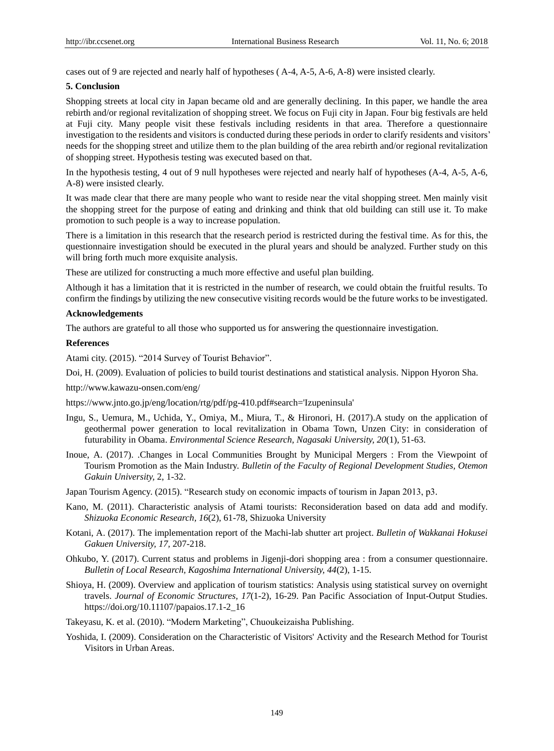cases out of 9 are rejected and nearly half of hypotheses ( A-4, A-5, A-6, A-8) were insisted clearly.

#### **5. Conclusion**

Shopping streets at local city in Japan became old and are generally declining. In this paper, we handle the area rebirth and/or regional revitalization of shopping street. We focus on Fuji city in Japan. Four big festivals are held at Fuji city. Many people visit these festivals including residents in that area. Therefore a questionnaire investigation to the residents and visitors is conducted during these periods in order to clarify residents and visitors' needs for the shopping street and utilize them to the plan building of the area rebirth and/or regional revitalization of shopping street. Hypothesis testing was executed based on that.

In the hypothesis testing, 4 out of 9 null hypotheses were rejected and nearly half of hypotheses (A-4, A-5, A-6, A-8) were insisted clearly.

It was made clear that there are many people who want to reside near the vital shopping street. Men mainly visit the shopping street for the purpose of eating and drinking and think that old building can still use it. To make promotion to such people is a way to increase population.

There is a limitation in this research that the research period is restricted during the festival time. As for this, the questionnaire investigation should be executed in the plural years and should be analyzed. Further study on this will bring forth much more exquisite analysis.

These are utilized for constructing a much more effective and useful plan building.

Although it has a limitation that it is restricted in the number of research, we could obtain the fruitful results. To confirm the findings by utilizing the new consecutive visiting records would be the future works to be investigated.

#### **Acknowledgements**

The authors are grateful to all those who supported us for answering the questionnaire investigation.

#### **References**

Atami city. (2015). "2014 Survey of Tourist Behavior".

Doi, H. (2009). Evaluation of policies to build tourist destinations and statistical analysis. Nippon Hyoron Sha.

http://www.kawazu-onsen.com/eng/

https://www.jnto.go.jp/eng/location/rtg/pdf/pg-410.pdf#search='Izupeninsula'

- Ingu, S., Uemura, M., Uchida, Y., Omiya, M., Miura, T., & Hironori, H. (2017).A study on the application of geothermal power generation to local revitalization in Obama Town, Unzen City: in consideration of futurability in Obama. *Environmental Science Research, Nagasaki University, 20*(1), 51-63.
- Inoue, A. (2017). .Changes in Local Communities Brought by Municipal Mergers : From the Viewpoint of Tourism Promotion as the Main Industry. *Bulletin of the Faculty of Regional Development Studies, Otemon Gakuin University,* 2, 1-32.
- Japan Tourism Agency. (2015). "Research study on economic impacts of tourism in Japan 2013, p3.
- Kano, M. (2011). Characteristic analysis of Atami tourists: Reconsideration based on data add and modify. *Shizuoka Economic Research, 16*(2), 61-78, Shizuoka University
- Kotani, A. (2017). The implementation report of the Machi-lab shutter art project. *Bulletin of Wakkanai Hokusei Gakuen University, 17,* 207-218.
- Ohkubo, Y. (2017). Current status and problems in Jigenji-dori shopping area : from a consumer questionnaire. *Bulletin of Local Research, Kagoshima International University, 44*(2), 1-15.
- Shioya, H. (2009). Overview and application of tourism statistics: Analysis using statistical survey on overnight travels. *Journal of Economic Structures, 17*(1-2), 16-29. Pan Pacific Association of Input-Output Studies. https://doi.org/10.11107/papaios.17.1-2\_16

Takeyasu, K. et al. (2010). "Modern Marketing", Chuoukeizaisha Publishing.

Yoshida, I. (2009). Consideration on the Characteristic of Visitors' Activity and the Research Method for Tourist Visitors in Urban Areas.